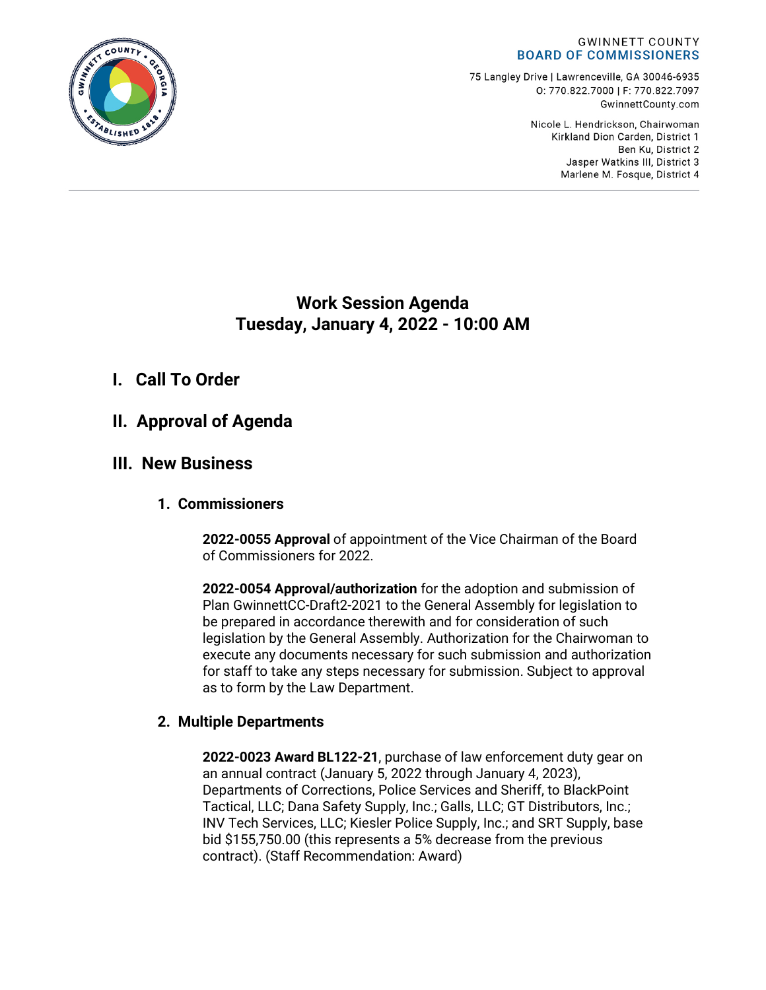#### **GWINNETT COUNTY BOARD OF COMMISSIONERS**

75 Langley Drive | Lawrenceville, GA 30046-6935 0:770.822.7000 | F: 770.822.7097 GwinnettCounty.com

> Nicole L. Hendrickson, Chairwoman Kirkland Dion Carden, District 1 Ben Ku. District 2 Jasper Watkins III, District 3 Marlene M. Fosque, District 4

## **Work Session Agenda Tuesday, January 4, 2022 - 10:00 AM**

# **I. Call To Order**

## **II. Approval of Agenda**

## **III. New Business**

### **1. Commissioners**

**2022-0055 Approval** of appointment of the Vice Chairman of the Board of Commissioners for 2022.

**2022-0054 Approval/authorization** for the adoption and submission of Plan GwinnettCC-Draft2-2021 to the General Assembly for legislation to be prepared in accordance therewith and for consideration of such legislation by the General Assembly. Authorization for the Chairwoman to execute any documents necessary for such submission and authorization for staff to take any steps necessary for submission. Subject to approval as to form by the Law Department.

## **2. Multiple Departments**

**2022-0023 Award BL122-21**, purchase of law enforcement duty gear on an annual contract (January 5, 2022 through January 4, 2023), Departments of Corrections, Police Services and Sheriff, to BlackPoint Tactical, LLC; Dana Safety Supply, Inc.; Galls, LLC; GT Distributors, Inc.; INV Tech Services, LLC; Kiesler Police Supply, Inc.; and SRT Supply, base bid \$155,750.00 (this represents a 5% decrease from the previous contract). (Staff Recommendation: Award)

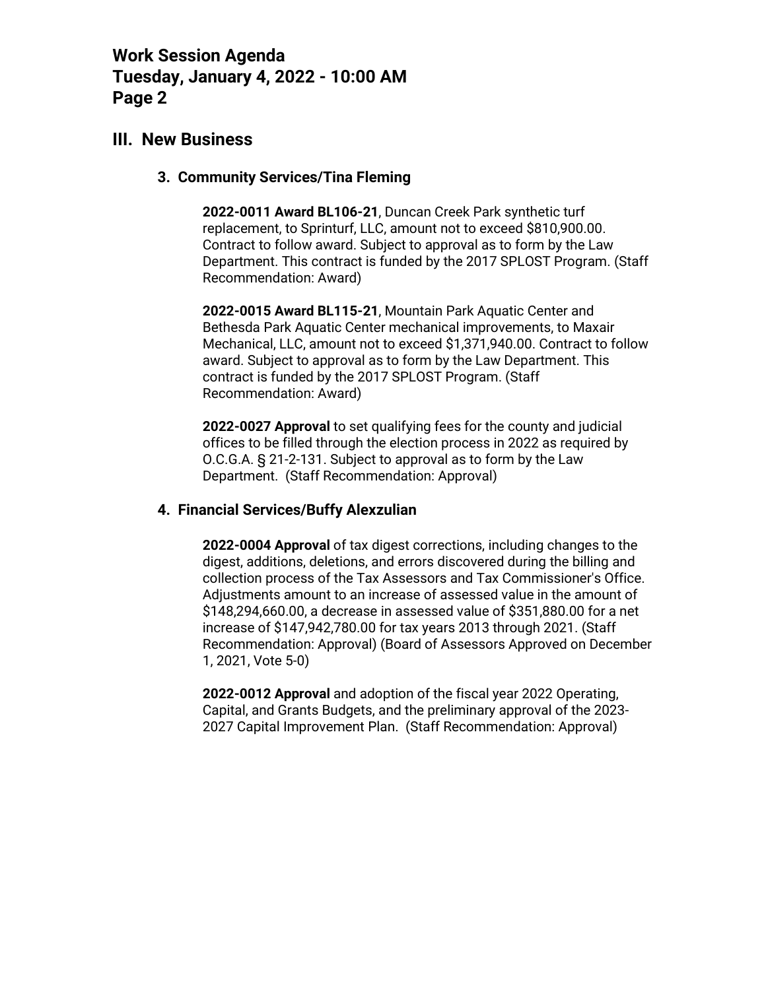## **III. New Business**

#### **3. Community Services/Tina Fleming**

**2022-0011 Award BL106-21**, Duncan Creek Park synthetic turf replacement, to Sprinturf, LLC, amount not to exceed \$810,900.00. Contract to follow award. Subject to approval as to form by the Law Department. This contract is funded by the 2017 SPLOST Program. (Staff Recommendation: Award)

**2022-0015 Award BL115-21**, Mountain Park Aquatic Center and Bethesda Park Aquatic Center mechanical improvements, to Maxair Mechanical, LLC, amount not to exceed \$1,371,940.00. Contract to follow award. Subject to approval as to form by the Law Department. This contract is funded by the 2017 SPLOST Program. (Staff Recommendation: Award)

**2022-0027 Approval** to set qualifying fees for the county and judicial offices to be filled through the election process in 2022 as required by O.C.G.A. § 21-2-131. Subject to approval as to form by the Law Department. (Staff Recommendation: Approval)

### **4. Financial Services/Buffy Alexzulian**

**2022-0004 Approval** of tax digest corrections, including changes to the digest, additions, deletions, and errors discovered during the billing and collection process of the Tax Assessors and Tax Commissioner's Office. Adjustments amount to an increase of assessed value in the amount of \$148,294,660.00, a decrease in assessed value of \$351,880.00 for a net increase of \$147,942,780.00 for tax years 2013 through 2021. (Staff Recommendation: Approval) (Board of Assessors Approved on December 1, 2021, Vote 5-0)

**2022-0012 Approval** and adoption of the fiscal year 2022 Operating, Capital, and Grants Budgets, and the preliminary approval of the 2023- 2027 Capital Improvement Plan. (Staff Recommendation: Approval)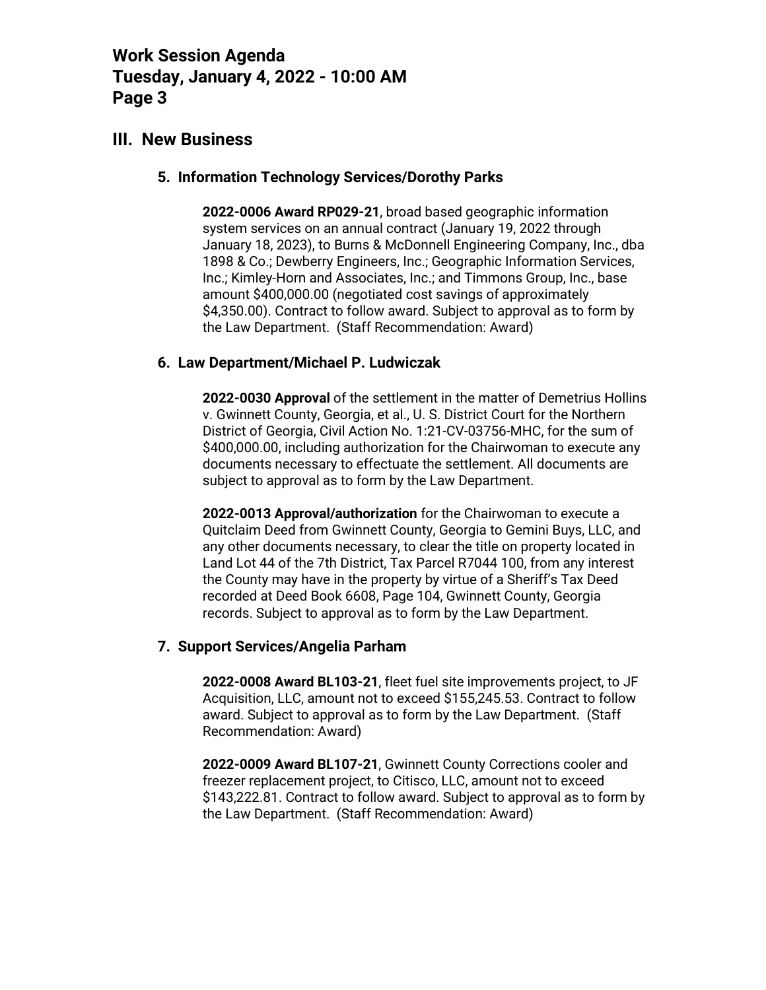## **III. New Business**

### **5. Information Technology Services/Dorothy Parks**

**2022-0006 Award RP029-21**, broad based geographic information system services on an annual contract (January 19, 2022 through January 18, 2023), to Burns & McDonnell Engineering Company, Inc., dba 1898 & Co.; Dewberry Engineers, Inc.; Geographic Information Services, Inc.; Kimley-Horn and Associates, Inc.; and Timmons Group, Inc., base amount \$400,000.00 (negotiated cost savings of approximately \$4,350.00). Contract to follow award. Subject to approval as to form by the Law Department. (Staff Recommendation: Award)

### **6. Law Department/Michael P. Ludwiczak**

**2022-0030 Approval** of the settlement in the matter of Demetrius Hollins v. Gwinnett County, Georgia, et al., U. S. District Court for the Northern District of Georgia, Civil Action No. 1:21-CV-03756-MHC, for the sum of \$400,000.00, including authorization for the Chairwoman to execute any documents necessary to effectuate the settlement. All documents are subject to approval as to form by the Law Department.

**2022-0013 Approval/authorization** for the Chairwoman to execute a Quitclaim Deed from Gwinnett County, Georgia to Gemini Buys, LLC, and any other documents necessary, to clear the title on property located in Land Lot 44 of the 7th District, Tax Parcel R7044 100, from any interest the County may have in the property by virtue of a Sheriff's Tax Deed recorded at Deed Book 6608, Page 104, Gwinnett County, Georgia records. Subject to approval as to form by the Law Department.

### **7. Support Services/Angelia Parham**

**2022-0008 Award BL103-21**, fleet fuel site improvements project, to JF Acquisition, LLC, amount not to exceed \$155,245.53. Contract to follow award. Subject to approval as to form by the Law Department. (Staff Recommendation: Award)

**2022-0009 Award BL107-21**, Gwinnett County Corrections cooler and freezer replacement project, to Citisco, LLC, amount not to exceed \$143,222.81. Contract to follow award. Subject to approval as to form by the Law Department. (Staff Recommendation: Award)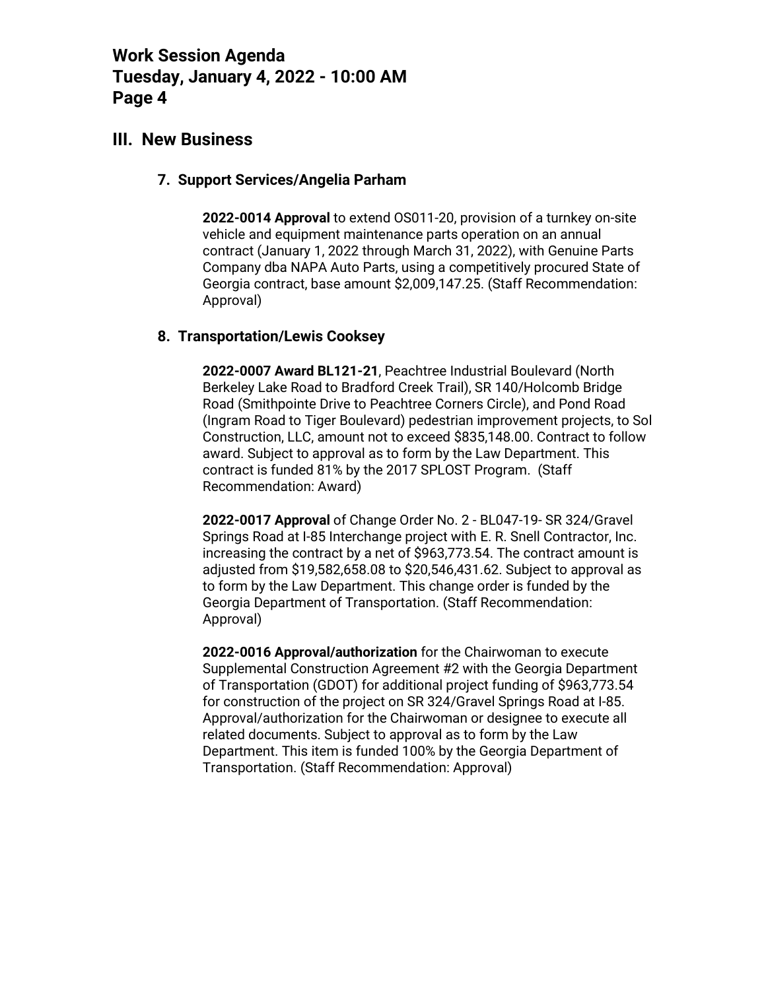### **III. New Business**

#### **7. Support Services/Angelia Parham**

**2022-0014 Approval** to extend OS011-20, provision of a turnkey on-site vehicle and equipment maintenance parts operation on an annual contract (January 1, 2022 through March 31, 2022), with Genuine Parts Company dba NAPA Auto Parts, using a competitively procured State of Georgia contract, base amount \$2,009,147.25. (Staff Recommendation: Approval)

### **8. Transportation/Lewis Cooksey**

**2022-0007 Award BL121-21**, Peachtree Industrial Boulevard (North Berkeley Lake Road to Bradford Creek Trail), SR 140/Holcomb Bridge Road (Smithpointe Drive to Peachtree Corners Circle), and Pond Road (Ingram Road to Tiger Boulevard) pedestrian improvement projects, to Sol Construction, LLC, amount not to exceed \$835,148.00. Contract to follow award. Subject to approval as to form by the Law Department. This contract is funded 81% by the 2017 SPLOST Program. (Staff Recommendation: Award)

**2022-0017 Approval** of Change Order No. 2 - BL047-19- SR 324/Gravel Springs Road at I-85 Interchange project with E. R. Snell Contractor, Inc. increasing the contract by a net of \$963,773.54. The contract amount is adjusted from \$19,582,658.08 to \$20,546,431.62. Subject to approval as to form by the Law Department. This change order is funded by the Georgia Department of Transportation. (Staff Recommendation: Approval)

**2022-0016 Approval/authorization** for the Chairwoman to execute Supplemental Construction Agreement #2 with the Georgia Department of Transportation (GDOT) for additional project funding of \$963,773.54 for construction of the project on SR 324/Gravel Springs Road at I-85. Approval/authorization for the Chairwoman or designee to execute all related documents. Subject to approval as to form by the Law Department. This item is funded 100% by the Georgia Department of Transportation. (Staff Recommendation: Approval)